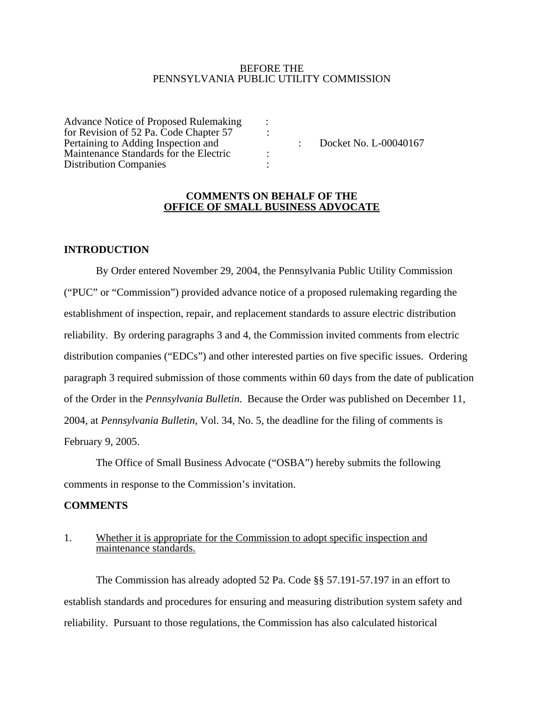#### BEFORE THE PENNSYLVANIA PUBLIC UTILITY COMMISSION

Advance Notice of Proposed Rulemaking : for Revision of 52 Pa. Code Chapter  $57$  : Pertaining to Adding Inspection and  $\qquad \qquad$ : Docket No. L-00040167 Maintenance Standards for the Electric : Distribution Companies :

#### **COMMENTS ON BEHALF OF THE OFFICE OF SMALL BUSINESS ADVOCATE**

# **INTRODUCTION**

By Order entered November 29, 2004, the Pennsylvania Public Utility Commission ("PUC" or "Commission") provided advance notice of a proposed rulemaking regarding the establishment of inspection, repair, and replacement standards to assure electric distribution reliability. By ordering paragraphs 3 and 4, the Commission invited comments from electric distribution companies ("EDCs") and other interested parties on five specific issues. Ordering paragraph 3 required submission of those comments within 60 days from the date of publication of the Order in the *Pennsylvania Bulletin*. Because the Order was published on December 11, 2004, at *Pennsylvania Bulletin*, Vol. 34, No. 5, the deadline for the filing of comments is February 9, 2005.

The Office of Small Business Advocate ("OSBA") hereby submits the following comments in response to the Commission's invitation.

#### **COMMENTS**

## 1. Whether it is appropriate for the Commission to adopt specific inspection and maintenance standards.

The Commission has already adopted 52 Pa. Code §§ 57.191-57.197 in an effort to establish standards and procedures for ensuring and measuring distribution system safety and reliability. Pursuant to those regulations, the Commission has also calculated historical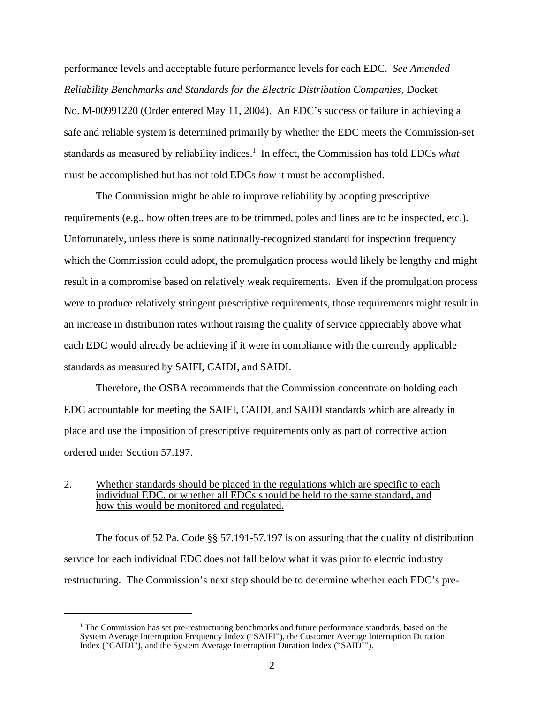performance levels and acceptable future performance levels for each EDC. *See Amended Reliability Benchmarks and Standards for the Electric Distribution Companies*, Docket No. M-00991220 (Order entered May 11, 2004). An EDC's success or failure in achieving a safe and reliable system is determined primarily by whether the EDC meets the Commission-set standards as measured by reliability indices.<sup>1</sup> In effect, the Commission has told EDCs *what* must be accomplished but has not told EDCs *how* it must be accomplished.

The Commission might be able to improve reliability by adopting prescriptive requirements (e.g., how often trees are to be trimmed, poles and lines are to be inspected, etc.). Unfortunately, unless there is some nationally-recognized standard for inspection frequency which the Commission could adopt, the promulgation process would likely be lengthy and might result in a compromise based on relatively weak requirements. Even if the promulgation process were to produce relatively stringent prescriptive requirements, those requirements might result in an increase in distribution rates without raising the quality of service appreciably above what each EDC would already be achieving if it were in compliance with the currently applicable standards as measured by SAIFI, CAIDI, and SAIDI.

Therefore, the OSBA recommends that the Commission concentrate on holding each EDC accountable for meeting the SAIFI, CAIDI, and SAIDI standards which are already in place and use the imposition of prescriptive requirements only as part of corrective action ordered under Section 57.197.

### 2. Whether standards should be placed in the regulations which are specific to each individual EDC, or whether all EDCs should be held to the same standard, and how this would be monitored and regulated.

The focus of 52 Pa. Code §§ 57.191-57.197 is on assuring that the quality of distribution service for each individual EDC does not fall below what it was prior to electric industry restructuring. The Commission's next step should be to determine whether each EDC's pre-

<sup>&</sup>lt;sup>1</sup> The Commission has set pre-restructuring benchmarks and future performance standards, based on the System Average Interruption Frequency Index ("SAIFI"), the Customer Average Interruption Duration Index ("CAIDI"), and the System Average Interruption Duration Index ("SAIDI").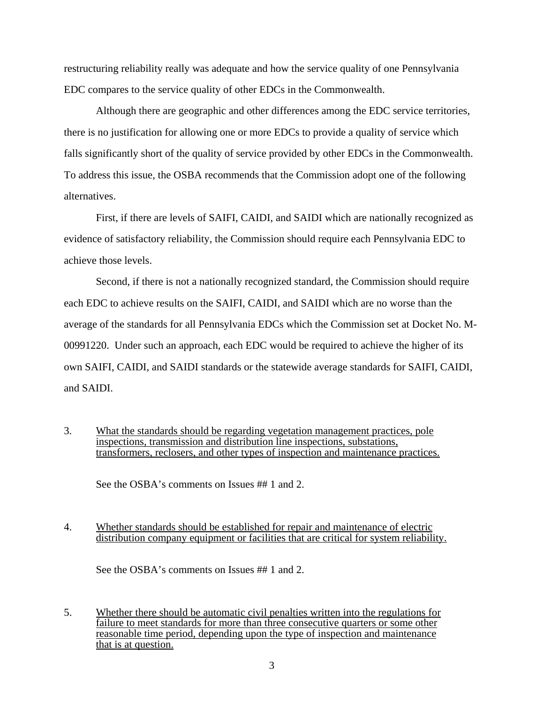restructuring reliability really was adequate and how the service quality of one Pennsylvania EDC compares to the service quality of other EDCs in the Commonwealth.

Although there are geographic and other differences among the EDC service territories, there is no justification for allowing one or more EDCs to provide a quality of service which falls significantly short of the quality of service provided by other EDCs in the Commonwealth. To address this issue, the OSBA recommends that the Commission adopt one of the following alternatives.

First, if there are levels of SAIFI, CAIDI, and SAIDI which are nationally recognized as evidence of satisfactory reliability, the Commission should require each Pennsylvania EDC to achieve those levels.

Second, if there is not a nationally recognized standard, the Commission should require each EDC to achieve results on the SAIFI, CAIDI, and SAIDI which are no worse than the average of the standards for all Pennsylvania EDCs which the Commission set at Docket No. M-00991220. Under such an approach, each EDC would be required to achieve the higher of its own SAIFI, CAIDI, and SAIDI standards or the statewide average standards for SAIFI, CAIDI, and SAIDI.

3. What the standards should be regarding vegetation management practices, pole inspections, transmission and distribution line inspections, substations, transformers, reclosers, and other types of inspection and maintenance practices.

See the OSBA's comments on Issues ## 1 and 2.

4. Whether standards should be established for repair and maintenance of electric distribution company equipment or facilities that are critical for system reliability.

See the OSBA's comments on Issues ## 1 and 2.

5. Whether there should be automatic civil penalties written into the regulations for failure to meet standards for more than three consecutive quarters or some other reasonable time period, depending upon the type of inspection and maintenance that is at question.